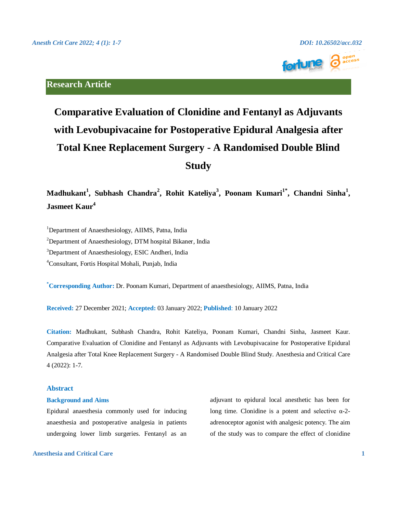

# **Research Article**

# **Comparative Evaluation of Clonidine and Fentanyl as Adjuvants with Levobupivacaine for Postoperative Epidural Analgesia after Total Knee Replacement Surgery - A Randomised Double Blind Study**

**Madhukant<sup>1</sup> , Subhash Chandra<sup>2</sup> , Rohit Kateliya<sup>3</sup> , Poonam Kumari1\* , Chandni Sinha<sup>1</sup> , Jasmeet Kaur<sup>4</sup>**

<sup>1</sup>Department of Anaesthesiology, AIIMS, Patna, India

<sup>2</sup>Department of Anaesthesiology, DTM hospital Bikaner, India

<sup>3</sup>Department of Anaesthesiology, ESIC Andheri, India

<sup>4</sup>Consultant, Fortis Hospital Mohali, Punjab, India

**\*Corresponding Author:** Dr. Poonam Kumari, Department of anaesthesiology, AIIMS, Patna, India

**Received:** 27 December 2021; **Accepted:** 03 January 2022; **Published**: 10 January 2022

**Citation:** Madhukant, Subhash Chandra, Rohit Kateliya, Poonam Kumari, Chandni Sinha, Jasmeet Kaur. Comparative Evaluation of Clonidine and Fentanyl as Adjuvants with Levobupivacaine for Postoperative Epidural Analgesia after Total Knee Replacement Surgery - A Randomised Double Blind Study. Anesthesia and Critical Care 4 (2022): 1-7.

# **Abstract**

### **Background and Aims**

Epidural anaesthesia commonly used for inducing anaesthesia and postoperative analgesia in patients undergoing lower limb surgeries. Fentanyl as an

**Anesthesia and Critical Care 1**

adjuvant to epidural local anesthetic has been for long time. Clonidine is a potent and selective  $\alpha$ -2adrenoceptor agonist with analgesic potency. The aim of the study was to compare the effect of clonidine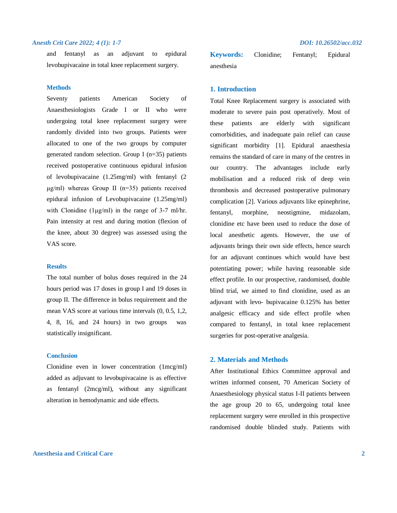and fentanyl as an adjuvant to epidural levobupivacaine in total knee replacement surgery.

### **Methods**

Seventy patients American Society of Anaesthesiologists Grade I or II who were undergoing total knee replacement surgery were randomly divided into two groups. Patients were allocated to one of the two groups by computer generated random selection. Group I (n=35) patients received postoperative continuous epidural infusion of levobupivacaine (1.25mg/ml) with fentanyl (2 μg/ml) whereas Group II (n=35) patients received epidural infusion of Levobupivacaine (1.25mg/ml) with Clonidine (1μg/ml) in the range of 3-7 ml/hr. Pain intensity at rest and during motion (flexion of the knee, about 30 degree) was assessed using the VAS score.

### **Results**

The total number of bolus doses required in the 24 hours period was 17 doses in group I and 19 doses in group II. The difference in bolus requirement and the mean VAS score at various time intervals (0, 0.5, 1,2, 4, 8, 16, and 24 hours) in two groups was statistically insignificant.

# **Conclusion**

Clonidine even in lower concentration (1mcg/ml) added as adjuvant to levobupivacaine is as effective as fentanyl (2mcg/ml), without any significant alteration in hemodynamic and side effects.

**Keywords:** Clonidine; Fentanyl; Epidural anesthesia

# **1. Introduction**

Total Knee Replacement surgery is associated with moderate to severe pain post operatively. Most of these patients are elderly with significant comorbidities, and inadequate pain relief can cause significant morbidity [1]. Epidural anaesthesia remains the standard of care in many of the centres in our country. The advantages include early mobilisation and a reduced risk of deep vein thrombosis and decreased postoperative pulmonary complication [2]. Various adjuvants like epinephrine, fentanyl, morphine, neostigmine, midazolam, clonidine etc have been used to reduce the dose of local anesthetic agents. However, the use of adjuvants brings their own side effects, hence search for an adjuvant continues which would have best potentiating power; while having reasonable side effect profile. In our prospective, randomised, double blind trial, we aimed to find clonidine, used as an adjuvant with levo- bupivacaine 0.125% has better analgesic efficacy and side effect profile when compared to fentanyl, in total knee replacement surgeries for post-operative analgesia.

# **2. Materials and Methods**

After Institutional Ethics Committee approval and written informed consent, 70 American Society of Anaesthesiology physical status I-II patients between the age group 20 to 65, undergoing total knee replacement surgery were enrolled in this prospective randomised double blinded study. Patients with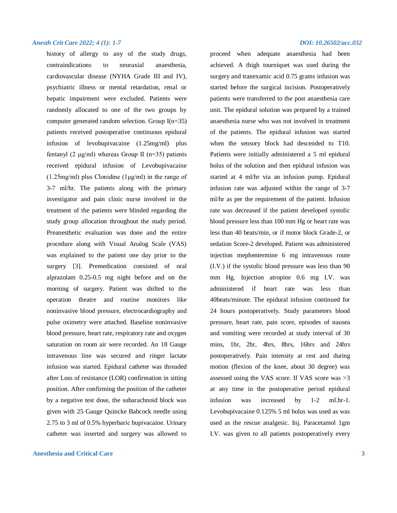history of allergy to any of the study drugs, contraindications to neuraxial anaesthesia, cardiovascular disease (NYHA Grade III and IV), psychiatric illness or mental retardation, renal or hepatic impairment were excluded. Patients were randomly allocated to one of the two groups by computer generated random selection. Group I(n=35) patients received postoperative continuous epidural infusion of levobupivacaine (1.25mg/ml) plus fentanyl (2  $\mu$ g/ml) whereas Group II (n=35) patients received epidural infusion of Levobupivacaine  $(1.25mg/ml)$  plus Clonidine  $(1\mu g/ml)$  in the range of 3-7 ml/hr. The patients along with the primary investigator and pain clinic nurse involved in the treatment of the patients were blinded regarding the study group allocation throughout the study period. Preanesthetic evaluation was done and the entire procedure along with Visual Analog Scale (VAS) was explained to the patient one day prior to the surgery [3]. Premedication consisted of oral alprazolam 0.25-0.5 mg night before and on the morning of surgery. Patient was shifted to the operation theatre and routine monitors like noninvasive blood pressure, electrocardiography and pulse oximetry were attached. Baseline noninvasive blood pressure, heart rate, respiratory rate and oxygen saturation on room air were recorded. An 18 Gauge intravenous line was secured and ringer lactate infusion was started. Epidural catheter was threaded after Loss of resistance (LOR) confirmation in sitting position. After confirming the position of the catheter by a negative test dose, the subarachnoid block was given with 25 Gauge Quincke Babcock needle using 2.75 to 3 ml of 0.5% hyperbaric bupivacaine. Urinary catheter was inserted and surgery was allowed to

## **Anesthesia and Critical Care 3**

proceed when adequate anaesthesia had been achieved. A thigh tourniquet was used during the surgery and tranexamic acid 0.75 grams infusion was started before the surgical incision. Postoperatively patients were transferred to the post anaesthesia care unit. The epidural solution was prepared by a trained anaesthesia nurse who was not involved in treatment of the patients. The epidural infusion was started when the sensory block had descended to T10. Patients were initially administered a 5 ml epidural bolus of the solution and then epidural infusion was started at 4 ml/hr via an infusion pump. Epidural infusion rate was adjusted within the range of 3-7 ml/hr as per the requirement of the patient. Infusion rate was decreased if the patient developed systolic blood pressure less than 100 mm Hg or heart rate was less than 40 beats/min, or if motor block Grade-2, or sedation Score-2 developed. Patient was administered injection mephentermine 6 mg intravenous route (I.V.) if the systolic blood pressure was less than 90 mm Hg. Injection atropine 0.6 mg I.V. was administered if heart rate was less than 40beats/minute. The epidural infusion continued for 24 hours postoperatively. Study parameters blood pressure, heart rate, pain score, episodes of nausea and vomiting were recorded at study interval of 30 mins, 1hr, 2hr, 4hrs, 8hrs, 16hrs and 24hrs postoperatively. Pain intensity at rest and during motion (flexion of the knee, about 30 degree) was assessed using the VAS score. If VAS score was >3 at any time in the postoperative period epidural infusion was increased by 1-2 ml.hr-1. Levobupivacaine 0.125% 5 ml bolus was used as was used as the rescue analgesic. Inj. Paracetamol 1gm I.V. was given to all patients postoperatively every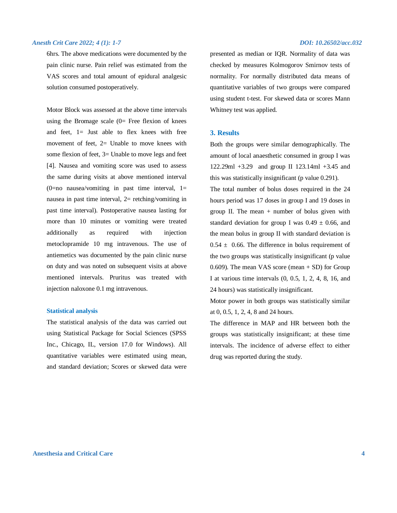6hrs. The above medications were documented by the pain clinic nurse. Pain relief was estimated from the VAS scores and total amount of epidural analgesic solution consumed postoperatively.

Motor Block was assessed at the above time intervals using the Bromage scale  $(0=$  Free flexion of knees and feet,  $1 =$  Just able to flex knees with free movement of feet, 2= Unable to move knees with some flexion of feet, 3= Unable to move legs and feet [4]. Nausea and vomiting score was used to assess the same during visits at above mentioned interval  $(0=no$  nausea/vomiting in past time interval,  $1=$ nausea in past time interval, 2= retching/vomiting in past time interval). Postoperative nausea lasting for more than 10 minutes or vomiting were treated additionally as required with injection metoclopramide 10 mg intravenous. The use of antiemetics was documented by the pain clinic nurse on duty and was noted on subsequent visits at above mentioned intervals. Pruritus was treated with injection naloxone 0.1 mg intravenous.

### **Statistical analysis**

The statistical analysis of the data was carried out using Statistical Package for Social Sciences (SPSS Inc., Chicago, IL, version 17.0 for Windows). All quantitative variables were estimated using mean, and standard deviation; Scores or skewed data were

presented as median or IQR. Normality of data was checked by measures Kolmogorov Smirnov tests of normality. For normally distributed data means of quantitative variables of two groups were compared using student t-test. For skewed data or scores Mann Whitney test was applied.

### **3. Results**

Both the groups were similar demographically. The amount of local anaesthetic consumed in group I was 122.29ml +3.29 and group II 123.14ml +3.45 and this was statistically insignificant (p value 0.291).

The total number of bolus doses required in the 24 hours period was 17 doses in group I and 19 doses in group II. The mean  $+$  number of bolus given with standard deviation for group I was  $0.49 \pm 0.66$ , and the mean bolus in group II with standard deviation is  $0.54 \pm 0.66$ . The difference in bolus requirement of the two groups was statistically insignificant (p value 0.609). The mean VAS score (mean + SD) for Group I at various time intervals (0, 0.5, 1, 2, 4, 8, 16, and 24 hours) was statistically insignificant.

Motor power in both groups was statistically similar at 0, 0.5, 1, 2, 4, 8 and 24 hours.

The difference in MAP and HR between both the groups was statistically insignificant; at these time intervals. The incidence of adverse effect to either drug was reported during the study.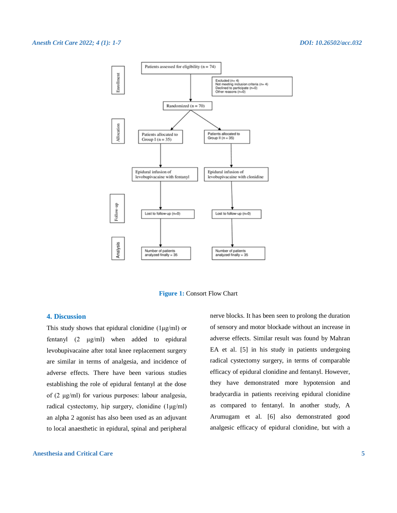

**Figure 1: Consort Flow Chart** 

# **4. Discussion**

This study shows that epidural clonidine  $(1\mu g/ml)$  or fentanyl (2 μg/ml) when added to epidural levobupivacaine after total knee replacement surgery are similar in terms of analgesia, and incidence of adverse effects. There have been various studies establishing the role of epidural fentanyl at the dose of (2 μg/ml) for various purposes: labour analgesia, radical cystectomy, hip surgery, clonidine (1μg/ml) an alpha 2 agonist has also been used as an adjuvant to local anaesthetic in epidural, spinal and peripheral

# **Anesthesia and Critical Care 5**

nerve blocks. It has been seen to prolong the duration of sensory and motor blockade without an increase in adverse effects. Similar result was found by Mahran EA et al. [5] in his study in patients undergoing radical cystectomy surgery, in terms of comparable efficacy of epidural clonidine and fentanyl. However, they have demonstrated more hypotension and bradycardia in patients receiving epidural clonidine as compared to fentanyl. In another study, A Arumugam et al. [6] also demonstrated good analgesic efficacy of epidural clonidine, but with a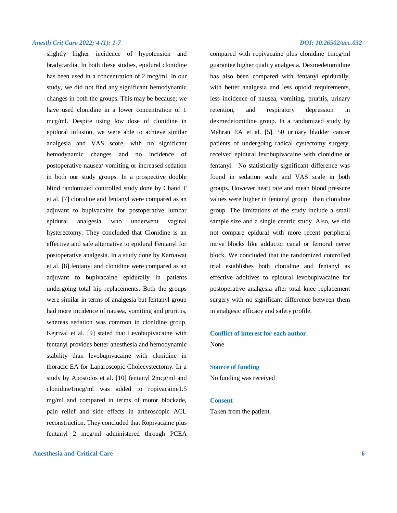slightly higher incidence of hypotension and bradycardia. In both these studies, epidural clonidine has been used in a concentration of 2 mcg/ml. In our study, we did not find any significant hemodynamic changes in both the groups. This may be because; we have used clonidine in a lower concentration of 1 mcg/ml. Despite using low dose of clonidine in epidural infusion, we were able to achieve similar analgesia and VAS score, with no significant hemodynamic changes and no incidence of postoperative nausea/ vomiting or increased sedation in both our study groups. In a prospective double blind randomized controlled study done by Chand T et al. [7] clonidine and fentanyl were compared as an adjuvant to bupivacaine for postoperative lumbar epidural analgesia who underwent vaginal hysterectomy. They concluded that Clonidine is an effective and safe alternative to epidural Fentanyl for postoperative analgesia. In a study done by Karnawat et al. [8] fentanyl and clonidine were compared as an adjuvant to bupivacaine epidurally in patients undergoing total hip replacements. Both the groups were similar in terms of analgesia but fentanyl group had more incidence of nausea, vomiting and pruritus, whereas sedation was common in clonidine group. Kejrival et al. [9] stated that Levobupivacaine with fentanyl provides better anesthesia and hemodynamic stability than levobupivacaine with clonidine in thoracic EA for Laparoscopic Cholecystectomy. In a study by Apostolos et al. [10] fentanyl 2mcg/ml and clonidine1mcg/ml was added to ropivacaine1.5 mg/ml and compared in terms of motor blockade, pain relief and side effects in arthroscopic ACL reconstruction. They concluded that Ropivacaine plus fentanyl 2 mcg/ml administered through PCEA

# **Anesthesia and Critical Care 6**

compared with ropivacaine plus clonidine 1mcg/ml guarantee higher quality analgesia. Dexmedetomidine has also been compared with fentanyl epidurally, with better analgesia and less opioid requirements, less incidence of nausea, vomiting, pruritis, urinary retention, and respiratory depression in dexmedetomidine group. In a randomized study by Mahran EA et al. [5], 50 urinary bladder cancer patients of undergoing radical cystectomy surgery, received epidural levobupivacaine with clonidine or fentanyl. No statistically significant difference was found in sedation scale and VAS scale in both groups. However heart rate and mean blood pressure values were higher in fentanyl group than clonidine group. The limitations of the study include a small sample size and a single centric study. Also, we did not compare epidural with more recent peripheral nerve blocks like adductor canal or femoral nerve block. We concluded that the randomized controlled trial establishes both clonidine and fentanyl as effective additives to epidural levobupivacaine for postoperative analgesia after total knee replacement surgery with no significant difference between them in analgesic efficacy and safety profile.

# **Conflict of interest for each author** None

### **Source of funding**

No funding was received

### **Consent**

Taken from the patient.